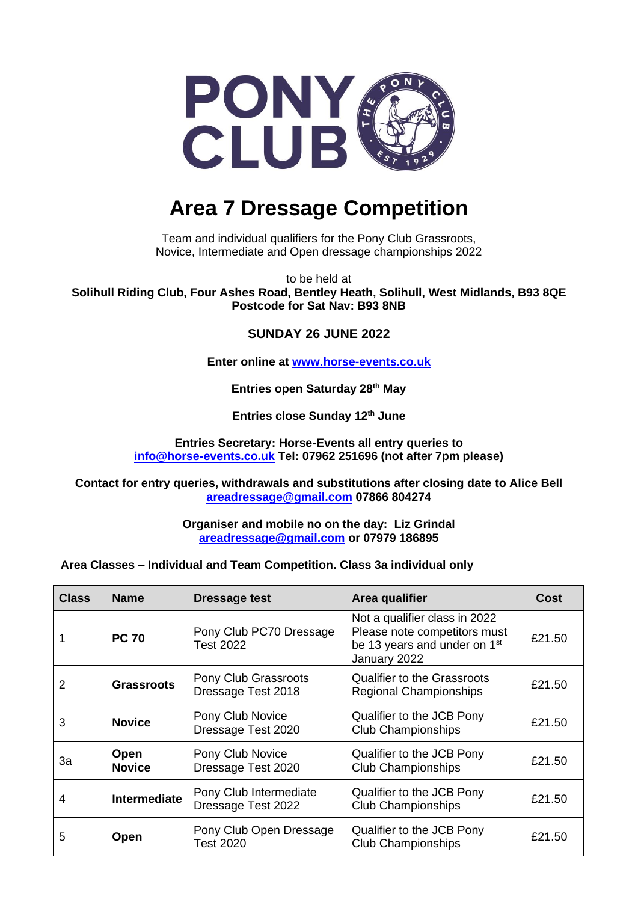

# **Area 7 Dressage Competition**

Team and individual qualifiers for the Pony Club Grassroots, Novice, Intermediate and Open dressage championships 2022

to be held at **Solihull Riding Club, Four Ashes Road, Bentley Heath, Solihull, West Midlands, B93 8QE Postcode for Sat Nav: B93 8NB**

## **SUNDAY 26 JUNE 2022**

**Enter online at [www.horse-events.co.uk](http://www.horse-events.co.uk/)**

**Entries open Saturday 28th May** 

**Entries close Sunday 12th June**

**Entries Secretary: Horse-Events all entry queries to [info@horse-events.co.uk](mailto:info@horse-events.co.uk) Tel: 07962 251696 (not after 7pm please)**

**Contact for entry queries, withdrawals and substitutions after closing date to Alice Bell [areadressage@gmail.com](mailto:areadressage@gmail.com) 07866 804274** 

> **Organiser and mobile no on the day: Liz Grindal [areadressage@gmail.com](mailto:areadressage@gmail.com) or 07979 186895**

**Area Classes – Individual and Team Competition. Class 3a individual only**

| <b>Class</b> | <b>Name</b>           | <b>Dressage test</b>                         | Area qualifier                                                                                                            | <b>Cost</b> |
|--------------|-----------------------|----------------------------------------------|---------------------------------------------------------------------------------------------------------------------------|-------------|
|              | <b>PC 70</b>          | Pony Club PC70 Dressage<br><b>Test 2022</b>  | Not a qualifier class in 2022<br>Please note competitors must<br>be 13 years and under on 1 <sup>st</sup><br>January 2022 | £21.50      |
| 2            | <b>Grassroots</b>     | Pony Club Grassroots<br>Dressage Test 2018   | <b>Qualifier to the Grassroots</b><br><b>Regional Championships</b>                                                       | £21.50      |
| 3            | <b>Novice</b>         | Pony Club Novice<br>Dressage Test 2020       | Qualifier to the JCB Pony<br><b>Club Championships</b>                                                                    | £21.50      |
| Зa           | Open<br><b>Novice</b> | Pony Club Novice<br>Dressage Test 2020       | Qualifier to the JCB Pony<br><b>Club Championships</b>                                                                    | £21.50      |
| 4            | <b>Intermediate</b>   | Pony Club Intermediate<br>Dressage Test 2022 | Qualifier to the JCB Pony<br><b>Club Championships</b>                                                                    | £21.50      |
| 5            | <b>Open</b>           | Pony Club Open Dressage<br><b>Test 2020</b>  | Qualifier to the JCB Pony<br><b>Club Championships</b>                                                                    | £21.50      |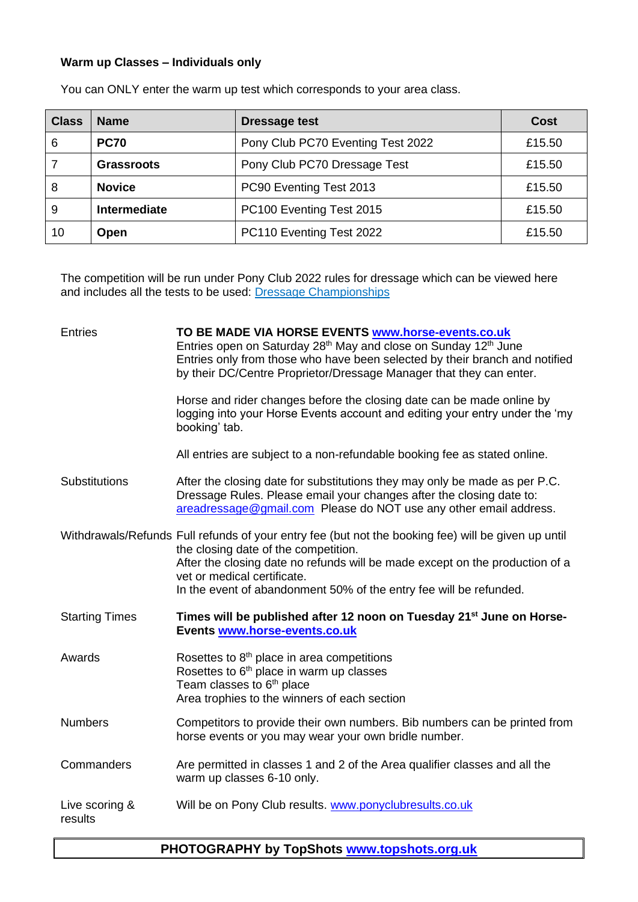## **Warm up Classes – Individuals only**

| <b>Class</b> | <b>Name</b>   | <b>Dressage test</b>              | <b>Cost</b> |
|--------------|---------------|-----------------------------------|-------------|
| 6            | <b>PC70</b>   | Pony Club PC70 Eventing Test 2022 | £15.50      |
|              | Grassroots    | Pony Club PC70 Dressage Test      | £15.50      |
| 8            | <b>Novice</b> | PC90 Eventing Test 2013           | £15.50      |
| 9            | Intermediate  | PC100 Eventing Test 2015          | £15.50      |
| 10           | Open          | PC110 Eventing Test 2022          | £15.50      |

You can ONLY enter the warm up test which corresponds to your area class.

The competition will be run under Pony Club 2022 rules for dressage which can be viewed here and includes all the tests to be used: **Dressage Championships** 

| <b>Entries</b>            | TO BE MADE VIA HORSE EVENTS www.horse-events.co.uk<br>Entries open on Saturday 28 <sup>th</sup> May and close on Sunday 12 <sup>th</sup> June<br>Entries only from those who have been selected by their branch and notified<br>by their DC/Centre Proprietor/Dressage Manager that they can enter. |
|---------------------------|-----------------------------------------------------------------------------------------------------------------------------------------------------------------------------------------------------------------------------------------------------------------------------------------------------|
|                           | Horse and rider changes before the closing date can be made online by<br>logging into your Horse Events account and editing your entry under the 'my<br>booking' tab.                                                                                                                               |
|                           | All entries are subject to a non-refundable booking fee as stated online.                                                                                                                                                                                                                           |
| Substitutions             | After the closing date for substitutions they may only be made as per P.C.<br>Dressage Rules. Please email your changes after the closing date to:<br>areadressage@gmail.com Please do NOT use any other email address.                                                                             |
|                           | Withdrawals/Refunds Full refunds of your entry fee (but not the booking fee) will be given up until<br>the closing date of the competition.                                                                                                                                                         |
|                           | After the closing date no refunds will be made except on the production of a                                                                                                                                                                                                                        |
|                           | vet or medical certificate.<br>In the event of abandonment 50% of the entry fee will be refunded.                                                                                                                                                                                                   |
| <b>Starting Times</b>     | Times will be published after 12 noon on Tuesday 21 <sup>st</sup> June on Horse-<br>Events www.horse-events.co.uk                                                                                                                                                                                   |
| Awards                    | Rosettes to 8 <sup>th</sup> place in area competitions<br>Rosettes to 6 <sup>th</sup> place in warm up classes<br>Team classes to 6 <sup>th</sup> place<br>Area trophies to the winners of each section                                                                                             |
| <b>Numbers</b>            | Competitors to provide their own numbers. Bib numbers can be printed from<br>horse events or you may wear your own bridle number.                                                                                                                                                                   |
| Commanders                | Are permitted in classes 1 and 2 of the Area qualifier classes and all the<br>warm up classes 6-10 only.                                                                                                                                                                                            |
| Live scoring &<br>results | Will be on Pony Club results. www.ponyclubresults.co.uk                                                                                                                                                                                                                                             |

## **PHOTOGRAPHY by TopShots [www.topshots.org.uk](http://www.topshots.org.uk/)**